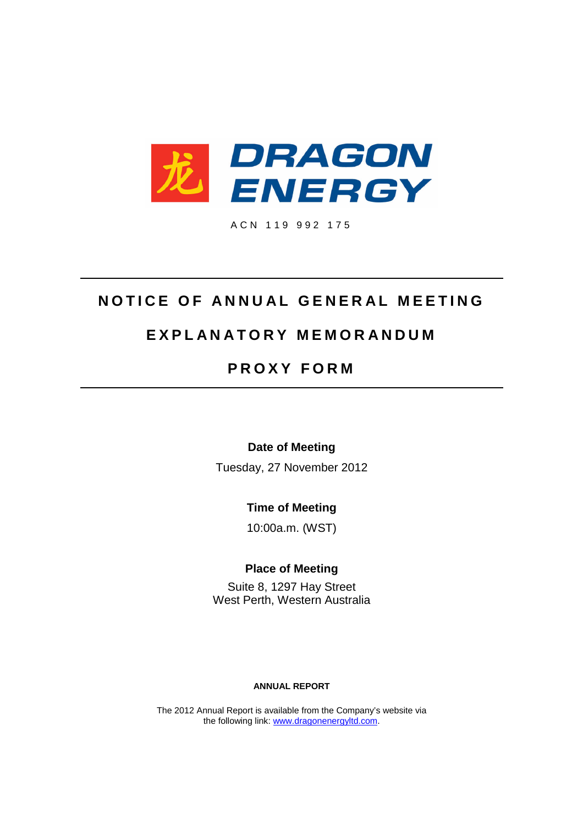

A C N 1 1 9 9 9 2 1 7 5

# **NOTICE OF ANNUAL GENERAL MEETING**

# **E X P L A N A T O R Y M E M O R A N D U M**

# **P R O X Y F O R M**

**Date of Meeting**

Tuesday, 27 November 2012

**Time of Meeting**

10:00a.m. (WST)

**Place of Meeting**

Suite 8, 1297 Hay Street West Perth, Western Australia

## **ANNUAL REPORT**

The 2012 Annual Report is available from the Company's website via the following link: [www.dragonenergyltd.com](http://www.dragonenergyltd.com/).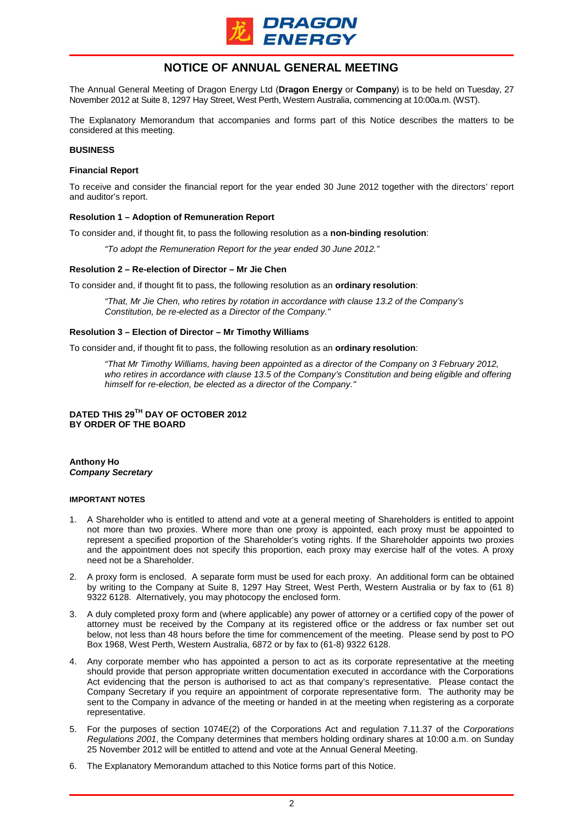

## **NOTICE OF ANNUAL GENERAL MEETING**

The Annual General Meeting of Dragon Energy Ltd (**Dragon Energy** or **Company**) is to be held on Tuesday, 27 November 2012 at Suite 8, 1297 Hay Street, West Perth, Western Australia, commencing at 10:00a.m. (WST).

The Explanatory Memorandum that accompanies and forms part of this Notice describes the matters to be considered at this meeting.

#### **BUSINESS**

#### **Financial Report**

To receive and consider the financial report for the year ended 30 June 2012 together with the directors' report and auditor's report.

#### **Resolution 1 – Adoption of Remuneration Report**

To consider and, if thought fit, to pass the following resolution as a **non-binding resolution**:

*"To adopt the Remuneration Report for the year ended 30 June 2012."*

### **Resolution 2 – Re-election of Director – Mr Jie Chen**

To consider and, if thought fit to pass, the following resolution as an **ordinary resolution**:

*"That, Mr Jie Chen, who retires by rotation in accordance with clause 13.2 of the Company's Constitution, be re-elected as a Director of the Company."*

#### **Resolution 3 – Election of Director – Mr Timothy Williams**

To consider and, if thought fit to pass, the following resolution as an **ordinary resolution**:

*"That Mr Timothy Williams, having been appointed as a director of the Company on 3 February 2012, who retires in accordance with clause 13.5 of the Company's Constitution and being eligible and offering himself for re-election, be elected as a director of the Company."*

**DATED THIS 29TH DAY OF OCTOBER 2012 BY ORDER OF THE BOARD**

**Anthony Ho** *Company Secretary*

#### **IMPORTANT NOTES**

- 1. A Shareholder who is entitled to attend and vote at a general meeting of Shareholders is entitled to appoint not more than two proxies. Where more than one proxy is appointed, each proxy must be appointed to represent a specified proportion of the Shareholder's voting rights. If the Shareholder appoints two proxies and the appointment does not specify this proportion, each proxy may exercise half of the votes. A proxy need not be a Shareholder.
- 2. A proxy form is enclosed. A separate form must be used for each proxy. An additional form can be obtained by writing to the Company at Suite 8, 1297 Hay Street, West Perth, Western Australia or by fax to (61 8) 9322 6128. Alternatively, you may photocopy the enclosed form.
- 3. A duly completed proxy form and (where applicable) any power of attorney or a certified copy of the power of attorney must be received by the Company at its registered office or the address or fax number set out below, not less than 48 hours before the time for commencement of the meeting. Please send by post to PO Box 1968, West Perth, Western Australia, 6872 or by fax to (61-8) 9322 6128.
- 4. Any corporate member who has appointed a person to act as its corporate representative at the meeting should provide that person appropriate written documentation executed in accordance with the Corporations Act evidencing that the person is authorised to act as that company's representative. Please contact the Company Secretary if you require an appointment of corporate representative form. The authority may be sent to the Company in advance of the meeting or handed in at the meeting when registering as a corporate representative.
- 5. For the purposes of section 1074E(2) of the Corporations Act and regulation 7.11.37 of the *Corporations Regulations 2001*, the Company determines that members holding ordinary shares at 10:00 a.m. on Sunday 25 November 2012 will be entitled to attend and vote at the Annual General Meeting.
- 6. The Explanatory Memorandum attached to this Notice forms part of this Notice.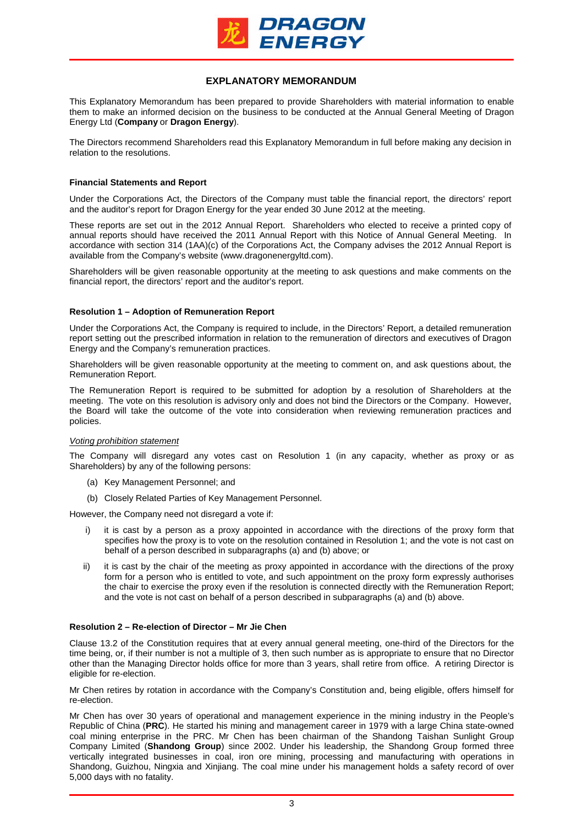

## **EXPLANATORY MEMORANDUM**

This Explanatory Memorandum has been prepared to provide Shareholders with material information to enable them to make an informed decision on the business to be conducted at the Annual General Meeting of Dragon Energy Ltd (**Company** or **Dragon Energy**).

The Directors recommend Shareholders read this Explanatory Memorandum in full before making any decision in relation to the resolutions.

### **Financial Statements and Report**

Under the Corporations Act, the Directors of the Company must table the financial report, the directors' report and the auditor's report for Dragon Energy for the year ended 30 June 2012 at the meeting.

These reports are set out in the 2012 Annual Report. Shareholders who elected to receive a printed copy of annual reports should have received the 2011 Annual Report with this Notice of Annual General Meeting. In accordance with section 314 (1AA)(c) of the Corporations Act, the Company advises the 2012 Annual Report is available from the Company's website (www.dragonenergyltd.com).

Shareholders will be given reasonable opportunity at the meeting to ask questions and make comments on the financial report, the directors' report and the auditor's report.

## **Resolution 1 – Adoption of Remuneration Report**

Under the Corporations Act, the Company is required to include, in the Directors' Report, a detailed remuneration report setting out the prescribed information in relation to the remuneration of directors and executives of Dragon Energy and the Company's remuneration practices.

Shareholders will be given reasonable opportunity at the meeting to comment on, and ask questions about, the Remuneration Report.

The Remuneration Report is required to be submitted for adoption by a resolution of Shareholders at the meeting. The vote on this resolution is advisory only and does not bind the Directors or the Company. However, the Board will take the outcome of the vote into consideration when reviewing remuneration practices and policies.

### *Voting prohibition statement*

The Company will disregard any votes cast on Resolution 1 (in any capacity, whether as proxy or as Shareholders) by any of the following persons:

- (a) Key Management Personnel; and
- (b) Closely Related Parties of Key Management Personnel.

However, the Company need not disregard a vote if:

- it is cast by a person as a proxy appointed in accordance with the directions of the proxy form that specifies how the proxy is to vote on the resolution contained in Resolution 1; and the vote is not cast on behalf of a person described in subparagraphs (a) and (b) above; or
- ii) it is cast by the chair of the meeting as proxy appointed in accordance with the directions of the proxy form for a person who is entitled to vote, and such appointment on the proxy form expressly authorises the chair to exercise the proxy even if the resolution is connected directly with the Remuneration Report; and the vote is not cast on behalf of a person described in subparagraphs (a) and (b) above.

## **Resolution 2 – Re-election of Director – Mr Jie Chen**

Clause 13.2 of the Constitution requires that at every annual general meeting, one-third of the Directors for the time being, or, if their number is not a multiple of 3, then such number as is appropriate to ensure that no Director other than the Managing Director holds office for more than 3 years, shall retire from office. A retiring Director is eligible for re-election.

Mr Chen retires by rotation in accordance with the Company's Constitution and, being eligible, offers himself for re-election.

Mr Chen has over 30 years of operational and management experience in the mining industry in the People's Republic of China (**PRC**). He started his mining and management career in 1979 with a large China state-owned coal mining enterprise in the PRC. Mr Chen has been chairman of the Shandong Taishan Sunlight Group Company Limited (**Shandong Group**) since 2002. Under his leadership, the Shandong Group formed three vertically integrated businesses in coal, iron ore mining, processing and manufacturing with operations in Shandong, Guizhou, Ningxia and Xinjiang. The coal mine under his management holds a safety record of over 5,000 days with no fatality.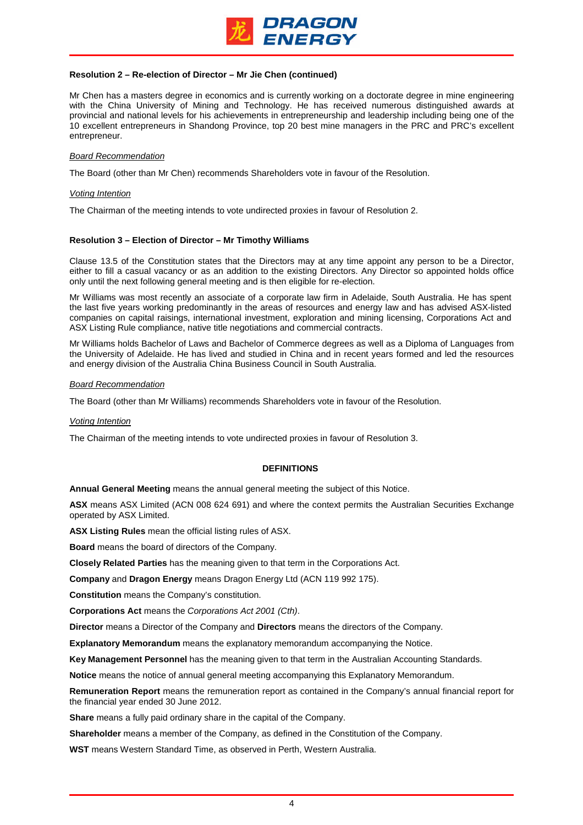

## **Resolution 2 – Re-election of Director – Mr Jie Chen (continued)**

Mr Chen has a masters degree in economics and is currently working on a doctorate degree in mine engineering with the China University of Mining and Technology. He has received numerous distinguished awards at provincial and national levels for his achievements in entrepreneurship and leadership including being one of the 10 excellent entrepreneurs in Shandong Province, top 20 best mine managers in the PRC and PRC's excellent entrepreneur.

### *Board Recommendation*

The Board (other than Mr Chen) recommends Shareholders vote in favour of the Resolution.

#### *Voting Intention*

The Chairman of the meeting intends to vote undirected proxies in favour of Resolution 2.

#### **Resolution 3 – Election of Director – Mr Timothy Williams**

Clause 13.5 of the Constitution states that the Directors may at any time appoint any person to be a Director, either to fill a casual vacancy or as an addition to the existing Directors. Any Director so appointed holds office only until the next following general meeting and is then eligible for re-election.

Mr Williams was most recently an associate of a corporate law firm in Adelaide, South Australia. He has spent the last five years working predominantly in the areas of resources and energy law and has advised ASX-listed companies on capital raisings, international investment, exploration and mining licensing, Corporations Act and ASX Listing Rule compliance, native title negotiations and commercial contracts.

Mr Williams holds Bachelor of Laws and Bachelor of Commerce degrees as well as a Diploma of Languages from the University of Adelaide. He has lived and studied in China and in recent years formed and led the resources and energy division of the Australia China Business Council in South Australia.

#### *Board Recommendation*

The Board (other than Mr Williams) recommends Shareholders vote in favour of the Resolution.

#### *Voting Intention*

The Chairman of the meeting intends to vote undirected proxies in favour of Resolution 3.

### **DEFINITIONS**

**Annual General Meeting** means the annual general meeting the subject of this Notice.

**ASX** means ASX Limited (ACN 008 624 691) and where the context permits the Australian Securities Exchange operated by ASX Limited.

**ASX Listing Rules** mean the official listing rules of ASX.

**Board** means the board of directors of the Company.

**Closely Related Parties** has the meaning given to that term in the Corporations Act.

**Company** and **Dragon Energy** means Dragon Energy Ltd (ACN 119 992 175).

**Constitution** means the Company's constitution.

**Corporations Act** means the *Corporations Act 2001 (Cth)*.

**Director** means a Director of the Company and **Directors** means the directors of the Company.

**Explanatory Memorandum** means the explanatory memorandum accompanying the Notice.

**Key Management Personnel** has the meaning given to that term in the Australian Accounting Standards.

**Notice** means the notice of annual general meeting accompanying this Explanatory Memorandum.

**Remuneration Report** means the remuneration report as contained in the Company's annual financial report for the financial year ended 30 June 2012.

**Share** means a fully paid ordinary share in the capital of the Company.

**Shareholder** means a member of the Company, as defined in the Constitution of the Company.

**WST** means Western Standard Time, as observed in Perth, Western Australia.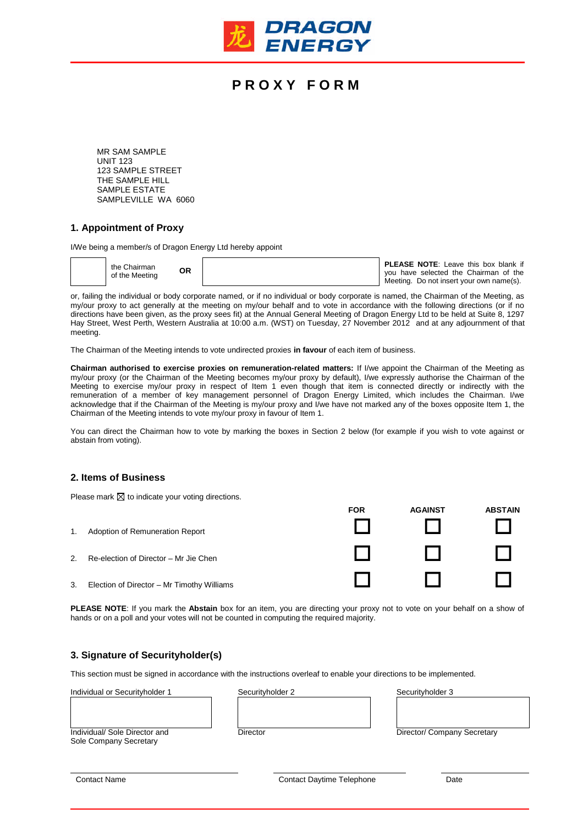

# **P R O X Y F O R M**

MR SAM SAMPLE UNIT 123 123 SAMPLE STREET THE SAMPLE HILL SAMPLE ESTATE SAMPLEVILLE WA 6060

## **1. Appointment of Proxy**

I/We being a member/s of Dragon Energy Ltd hereby appoint

| the Chairman<br><b>OR</b><br>of the Meeting | <b>PLEASE NOTE:</b> Leave this box blank if<br>you have selected the Chairman of the |
|---------------------------------------------|--------------------------------------------------------------------------------------|
|                                             | Meeting. Do not insert your own name(s).                                             |

or, failing the individual or body corporate named, or if no individual or body corporate is named, the Chairman of the Meeting, as my/our proxy to act generally at the meeting on my/our behalf and to vote in accordance with the following directions (or if no directions have been given, as the proxy sees fit) at the Annual General Meeting of Dragon Energy Ltd to be held at Suite 8, 1297 Hay Street, West Perth, Western Australia at 10:00 a.m. (WST) on Tuesday, 27 November 2012 and at any adjournment of that meeting.

The Chairman of the Meeting intends to vote undirected proxies **in favour** of each item of business.

**Chairman authorised to exercise proxies on remuneration-related matters:** If I/we appoint the Chairman of the Meeting as my/our proxy (or the Chairman of the Meeting becomes my/our proxy by default), I/we expressly authorise the Chairman of the Meeting to exercise my/our proxy in respect of Item 1 even though that item is connected directly or indirectly with the remuneration of a member of key management personnel of Dragon Energy Limited, which includes the Chairman. I/we acknowledge that if the Chairman of the Meeting is my/our proxy and I/we have not marked any of the boxes opposite Item 1, the Chairman of the Meeting intends to vote my/our proxy in favour of Item 1.

You can direct the Chairman how to vote by marking the boxes in Section 2 below (for example if you wish to vote against or abstain from voting).

## **2. Items of Business**

Please mark  $\boxtimes$  to indicate your voting directions.

1. Adoption of Remuneration Report 2. Re-election of Director – Mr Jie Chen 3. Election of Director – Mr Timothy Williams

**PLEASE NOTE**: If you mark the **Abstain** box for an item, you are directing your proxy not to vote on your behalf on a show of hands or on a poll and your votes will not be counted in computing the required majority.

## **3. Signature of Securityholder(s)**

This section must be signed in accordance with the instructions overleaf to enable your directions to be implemented.

Individual or Securityholder 1 Securityholder 2 Securityholder 3

**FOR AGAINST ABSTAIN**

Individual/ Sole Director and Director Director Director Director/ Company Secretary Sole Company Secretary